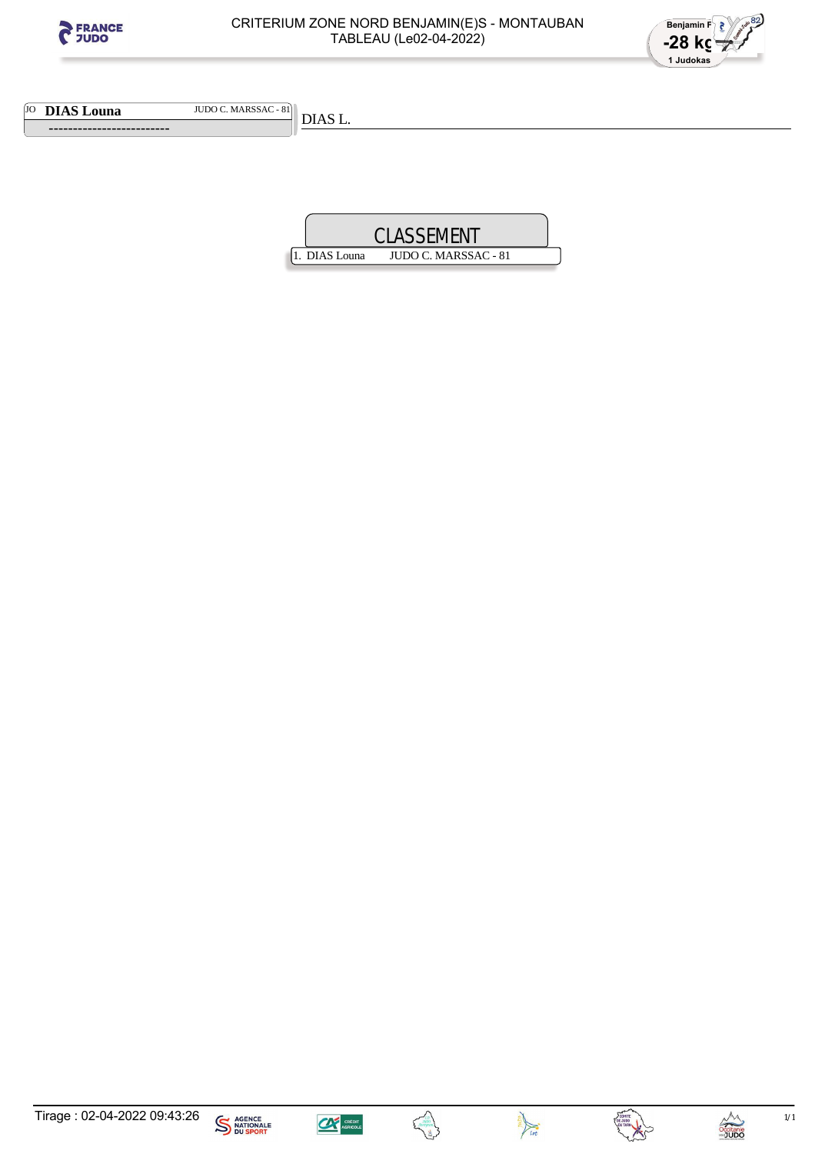



JO **DIAS Louna** JUDO C. MARSSAC - 81

 **-------------------------** 

DIAS L.









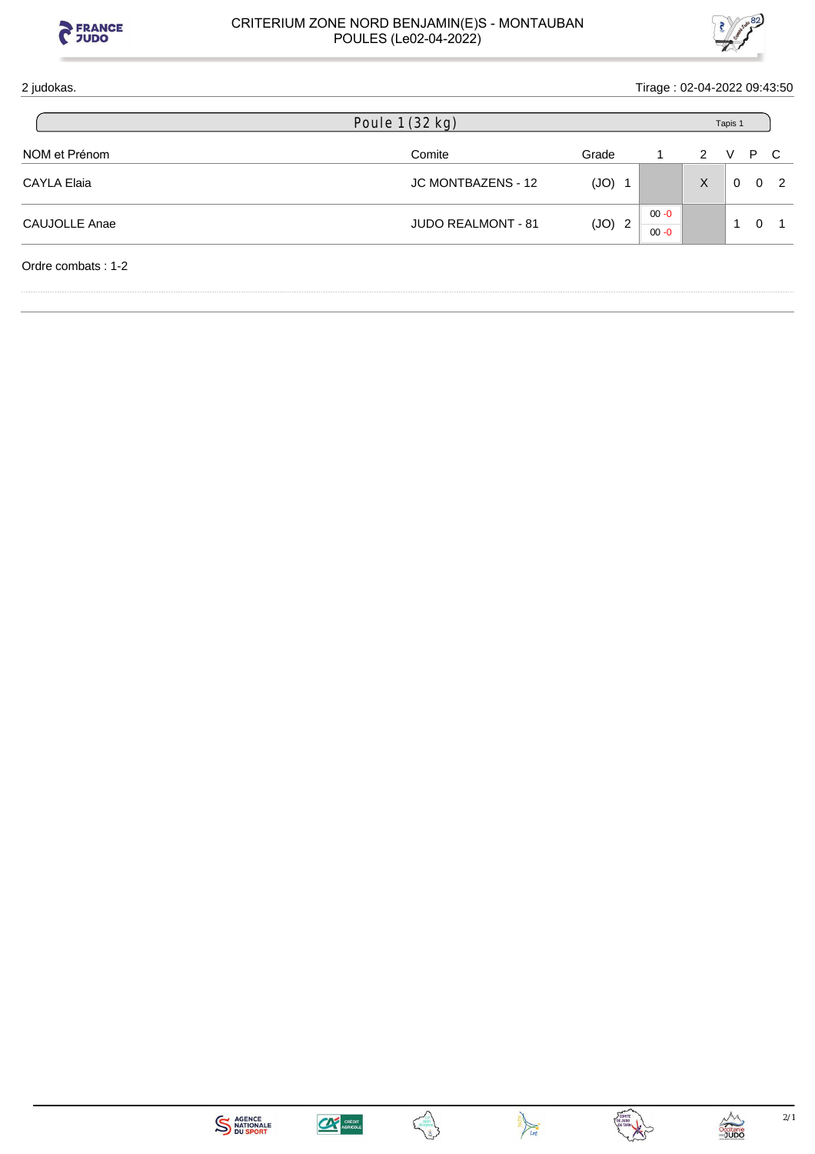



| 2 judokas.         |                           |          | Tirage: 02-04-2022 09:43:50 |   |          |          |                |
|--------------------|---------------------------|----------|-----------------------------|---|----------|----------|----------------|
|                    | Poule 1 (32 kg)           |          |                             |   | Tapis 1  |          |                |
| NOM et Prénom      | Comite                    | Grade    |                             | 2 | V        | P.       | C              |
| <b>CAYLA Elaia</b> | JC MONTBAZENS - 12        | $(JO)$ 1 |                             | X | $\Omega$ | $\Omega$ | $\overline{2}$ |
| CAUJOLLE Anae      | <b>JUDO REALMONT - 81</b> | $(JO)$ 2 | $00 - 0$<br>$00 - 0$        |   | -1       | 0        |                |
| Ordre combats: 1-2 |                           |          |                             |   |          |          |                |







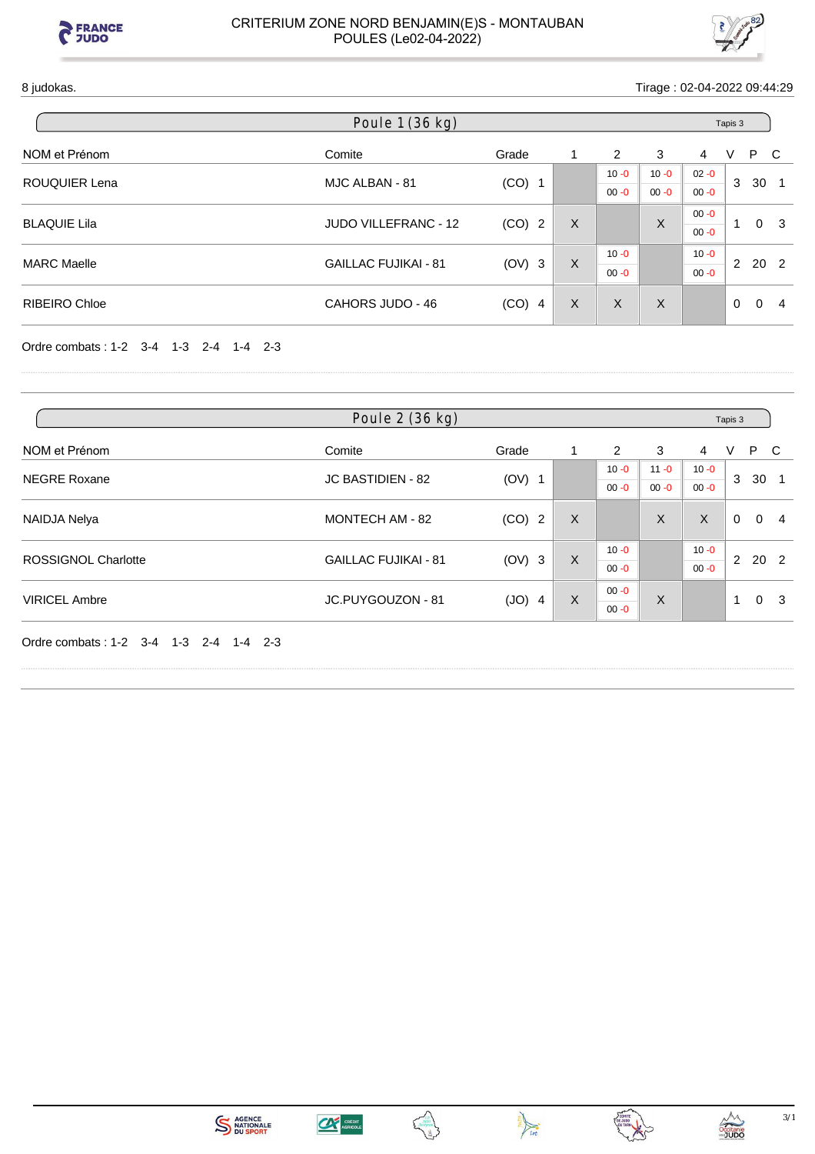



8 judokas. Tirage : 02-04-2022 09:44:29

|                      | Poule 1 (36 kg)             |          |   |          |          |          | Tapis 3  |                            |
|----------------------|-----------------------------|----------|---|----------|----------|----------|----------|----------------------------|
| NOM et Prénom        | Comite                      | Grade    |   | 2        | 3        | 4        | P<br>V   | - C                        |
| ROUQUIER Lena        | MJC ALBAN - 81              | $(CO)$ 1 |   | $10 - 0$ | $10 - 0$ | $02 - 0$ | 3        | 30                         |
|                      |                             |          |   | $00 - 0$ | $00 - 0$ | $00 - 0$ |          |                            |
| <b>BLAQUIE Lila</b>  | <b>JUDO VILLEFRANC - 12</b> |          | X |          | X        | $00 - 0$ | <b>A</b> | - 3<br>$\Omega$            |
|                      |                             | $(CO)$ 2 |   |          |          | $00 - 0$ |          |                            |
| <b>MARC Maelle</b>   | <b>GAILLAC FUJIKAI - 81</b> |          | X | $10 - 0$ |          | $10 - 0$ | 2        |                            |
|                      |                             | $(OV)$ 3 |   | $00 - 0$ |          | $00 - 0$ |          | 20 2                       |
| <b>RIBEIRO Chloe</b> | CAHORS JUDO - 46            | $(CO)$ 4 | X | X        | X        |          | $\Omega$ | $\Omega$<br>$\overline{4}$ |
|                      |                             |          |   |          |          |          |          |                            |

Ordre combats : 1-2 3-4 1-3 2-4 1-4 2-3

|                            | Poule 2 (36 kg)             |          |   |          |          |          | Tapis 3  |          |                 |
|----------------------------|-----------------------------|----------|---|----------|----------|----------|----------|----------|-----------------|
| NOM et Prénom              | Comite                      | Grade    | 1 | 2        | 3        | 4        | V        | P        | - C             |
|                            |                             |          |   | $10 - 0$ | $11 - 0$ | $10 - 0$ |          |          |                 |
| <b>NEGRE Roxane</b>        | JC BASTIDIEN - 82           | $(OV)$ 1 |   | $00 - 0$ | $00 - 0$ | $00 - 0$ | 3        | 30       |                 |
| NAIDJA Nelya               | MONTECH AM - 82             | $(CO)$ 2 | X |          | X        | X        | $\Omega$ | $\Omega$ | -4              |
|                            |                             |          |   | $10 - 0$ |          | $10 - 0$ |          |          |                 |
| <b>ROSSIGNOL Charlotte</b> | <b>GAILLAC FUJIKAI - 81</b> | $(OV)$ 3 | X | $00 - 0$ |          | $00 - 0$ | 2        |          | 20 <sub>2</sub> |
|                            |                             |          |   | $00 - 0$ |          |          |          |          |                 |
| <b>VIRICEL Ambre</b>       | JC.PUYGOUZON - 81           | $(JO)$ 4 | X | $00 - 0$ | X        |          | 1        | $\Omega$ | -3              |

Ordre combats : 1-2 3-4 1-3 2-4 1-4 2-3







Ę



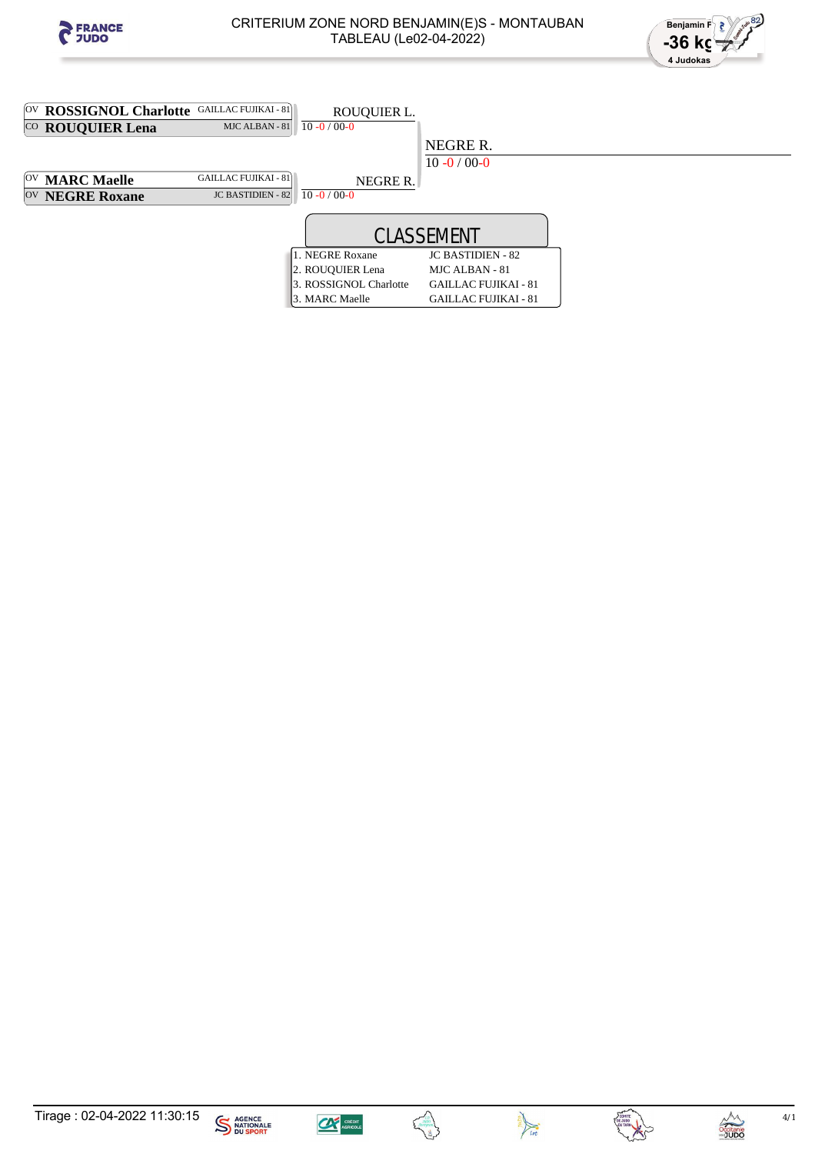















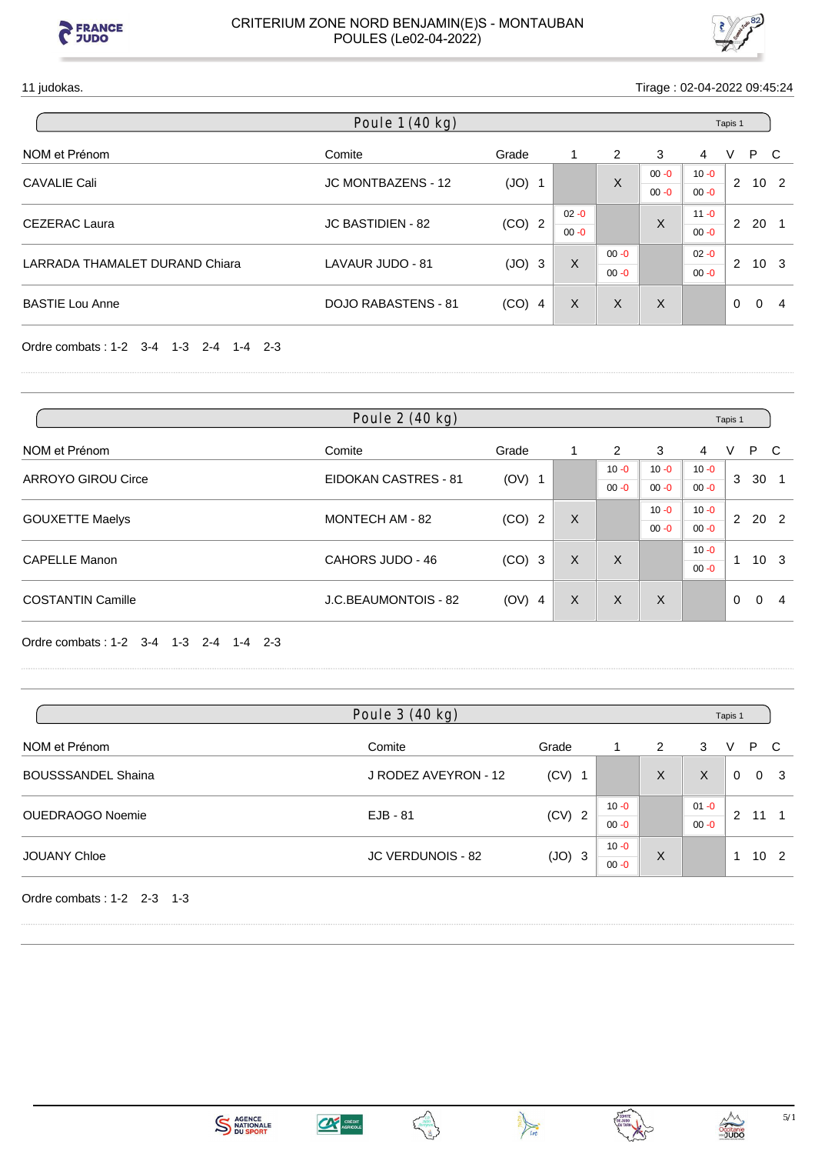



11 judokas. Tirage : 02-04-2022 09:45:24

|                                | Poule 1 (40 kg)            |          |          |          |          |          | Tapis 1  |                 |    |
|--------------------------------|----------------------------|----------|----------|----------|----------|----------|----------|-----------------|----|
| NOM et Prénom                  | Comite                     | Grade    |          | 2        | 3        | 4        | V        | P C             |    |
| <b>CAVALIE Cali</b>            | <b>JC MONTBAZENS - 12</b>  | $(JO)$ 1 |          | X        | $00 - 0$ | $10 - 0$ | 2        | 10 <sub>2</sub> |    |
|                                |                            |          |          |          | $00 - 0$ | $00 - 0$ |          |                 |    |
|                                |                            |          | $02 - 0$ |          |          | $11 - 0$ |          |                 |    |
| <b>CEZERAC Laura</b>           | <b>JC BASTIDIEN - 82</b>   | $(CO)$ 2 | $00 - 0$ |          | X        | $00 - 0$ | 2        | 20              |    |
|                                |                            |          |          | $00 - 0$ |          | $02 - 0$ |          |                 |    |
| LARRADA THAMALET DURAND Chiara | LAVAUR JUDO - 81           | $(JO)$ 3 | X        | $00 - 0$ |          | $00 - 0$ | 2        | 10 <sub>3</sub> |    |
| <b>BASTIE Lou Anne</b>         | <b>DOJO RABASTENS - 81</b> | $(CO)$ 4 | X        | X        | X        |          | $\Omega$ | $\Omega$        | -4 |

Ordre combats : 1-2 3-4 1-3 2-4 1-4 2-3

|                           | Poule 2 (40 kg)      |          |   |          |          |          | Tapis 1     |          |                 |
|---------------------------|----------------------|----------|---|----------|----------|----------|-------------|----------|-----------------|
| NOM et Prénom             | Comite               | Grade    |   | 2        | 3        | 4        | V           | P.       | C               |
|                           |                      |          |   | $10 - 0$ | $10 - 0$ | $10 - 0$ |             |          |                 |
| <b>ARROYO GIROU Circe</b> | EIDOKAN CASTRES - 81 | $(OV)$ 1 |   | $00 - 0$ | $00 - 0$ | $00 - 0$ | 3           | 30       |                 |
|                           |                      |          |   |          | $10 - 0$ | $10 - 0$ |             |          |                 |
| <b>GOUXETTE Maelys</b>    | MONTECH AM - 82      | $(CO)$ 2 | X |          | $00 - 0$ | $00 - 0$ | $2^{\circ}$ | 20 2     |                 |
| <b>CAPELLE Manon</b>      |                      |          |   |          |          | $10 - 0$ | 1           |          |                 |
|                           | CAHORS JUDO - 46     | $(CO)$ 3 | X | X        |          | $00 - 0$ |             |          | 10 <sup>3</sup> |
| <b>COSTANTIN Camille</b>  | J.C.BEAUMONTOIS - 82 | $(OV)$ 4 | X | X        | X        |          | $\Omega$    | $\Omega$ | 4               |

Ordre combats : 1-2 3-4 1-3 2-4 1-4 2-3

|                           | Poule 3 (40 kg)      |          |          |   |          | Tapis 1 |          |          |
|---------------------------|----------------------|----------|----------|---|----------|---------|----------|----------|
| NOM et Prénom             | Comite               | Grade    |          | 2 | 3        | V       | P C      |          |
| <b>BOUSSSANDEL Shaina</b> | J RODEZ AVEYRON - 12 | $(CV)$ 1 |          | X | X        | 0       | $\Omega$ | - 3      |
| OUEDRAOGO Noemie          | $EJB - 81$           | $(CV)$ 2 | $10 - 0$ |   | $01 - 0$ | 2       | 11       |          |
|                           |                      |          | $00 - 0$ |   | $00 - 0$ |         |          |          |
|                           | JC VERDUNOIS - 82    |          | $10 - 0$ | X |          |         |          | $10^{2}$ |
| <b>JOUANY Chloe</b>       |                      | $(JO)$ 3 | $00 - 0$ |   |          |         |          |          |

Ordre combats : 1-2 2-3 1-3





 $\frac{1}{\sqrt{10t}}$ 

Tupo<br>veyron



Occitanie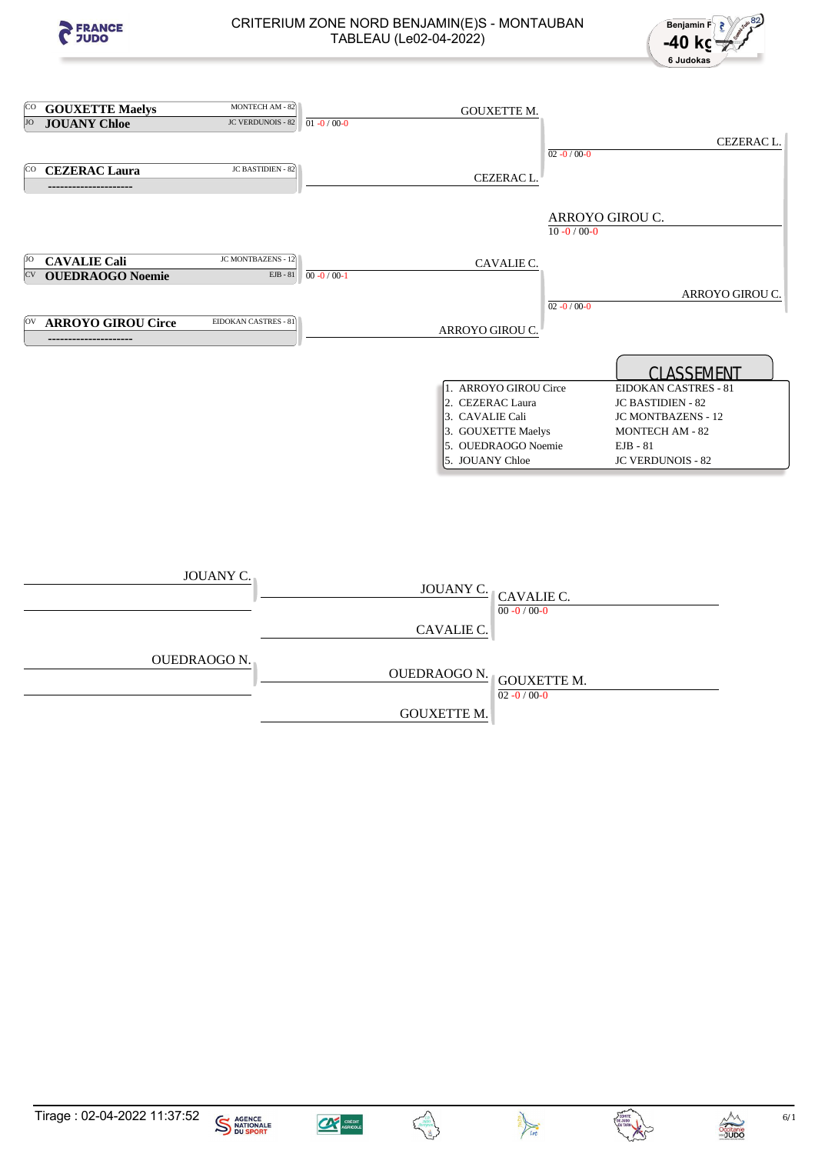



| [CO | <b>GOUXETTE Maelys</b>    | MONTECH AM - 82      |                   | <b>GOUXETTE M.</b>      |                   |                           |
|-----|---------------------------|----------------------|-------------------|-------------------------|-------------------|---------------------------|
| JO  | <b>JOUANY Chloe</b>       | JC VERDUNOIS - 82    | $01 - 0 / 00 - 0$ |                         |                   |                           |
|     |                           |                      |                   |                         |                   | CEZERAC L.                |
|     |                           |                      |                   |                         | $02 - 0 / 00 - 0$ |                           |
| íco | <b>CEZERAC Laura</b>      | JC BASTIDIEN - 82    |                   |                         |                   |                           |
|     | --------------------      |                      |                   | CEZERAC L.              |                   |                           |
|     |                           |                      |                   |                         |                   |                           |
|     |                           |                      |                   |                         | ARROYO GIROU C.   |                           |
|     |                           |                      |                   |                         | $10 - 0 / 00 - 0$ |                           |
|     |                           |                      |                   |                         |                   |                           |
| IJО | <b>CAVALIE Cali</b>       | JC MONTBAZENS - 12   |                   | CAVALIE C.              |                   |                           |
| CV  | <b>OUEDRAOGO Noemie</b>   | EJB - 81             | $00 - 0 / 00 - 1$ |                         |                   |                           |
|     |                           |                      |                   |                         |                   | ARROYO GIROU C.           |
|     |                           |                      |                   |                         | $02 - 0 / 00 - 0$ |                           |
| ΙOΛ | <b>ARROYO GIROU Circe</b> | EIDOKAN CASTRES - 81 |                   |                         |                   |                           |
|     | ---------------------     |                      |                   | ARROYO GIROU C.         |                   |                           |
|     |                           |                      |                   |                         |                   |                           |
|     |                           |                      |                   |                         |                   | <b>CLASSEMENT</b>         |
|     |                           |                      |                   | 1. ARROYO GIROU Circe   |                   | EIDOKAN CASTRES - 81      |
|     |                           |                      |                   | 2. CEZERAC Laura        |                   | <b>JC BASTIDIEN - 82</b>  |
|     |                           |                      |                   | 3. CAVALIE Cali         |                   | <b>JC MONTBAZENS - 12</b> |
|     |                           |                      |                   | 3. GOUXETTE Maelys      |                   | <b>MONTECH AM - 82</b>    |
|     |                           |                      |                   | 5. OUEDRAOGO Noemie     |                   | $EJB - 81$                |
|     |                           |                      |                   | 5. JOUANY Chloe         |                   | <b>JC VERDUNOIS - 82</b>  |
|     |                           |                      |                   |                         |                   |                           |
|     |                           |                      |                   |                         |                   |                           |
|     |                           |                      |                   |                         |                   |                           |
|     |                           |                      |                   |                         |                   |                           |
|     |                           |                      |                   |                         |                   |                           |
|     |                           |                      |                   |                         |                   |                           |
|     |                           |                      |                   |                         |                   |                           |
|     | JOUANY C.                 |                      |                   |                         |                   |                           |
|     |                           |                      |                   | JOUANY C.<br>CAVALIE C. |                   |                           |
|     |                           |                      |                   | $00 - 0 / 00 - 0$       |                   |                           |
|     |                           |                      |                   | CAVALIE C               |                   |                           |

|              | CA VALILIC.                             |
|--------------|-----------------------------------------|
| OUEDRAOGO N. | OUEDRAOGO N. GOUXETTE M.                |
|              | $02 - 0 / 00 - 0$<br><b>GOUXETTE M.</b> |
|              |                                         |





Decitanie



**CONTROL**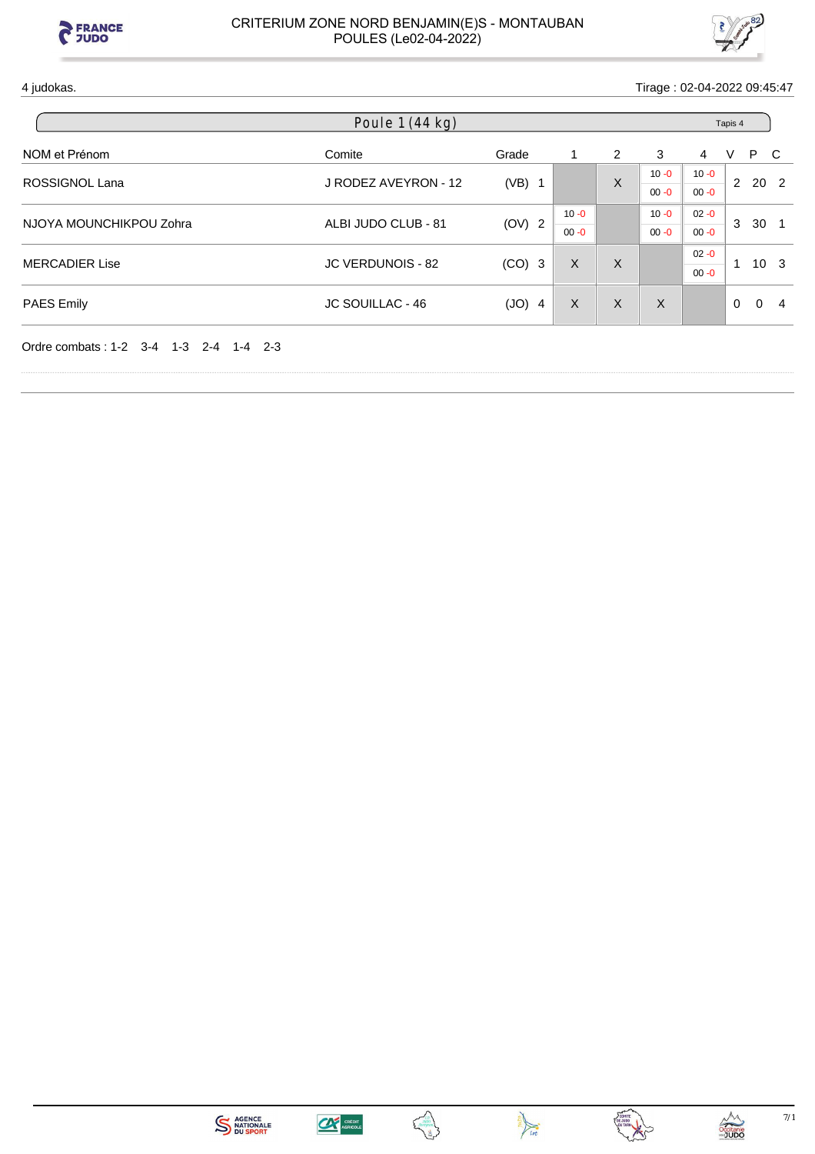



4 judokas. Tirage : 02-04-2022 09:45:47

| Poule 1 (44 kg)  |                                                                  |                                |   |          |          |          |          |                                                                |
|------------------|------------------------------------------------------------------|--------------------------------|---|----------|----------|----------|----------|----------------------------------------------------------------|
| Comite           | Grade                                                            | 1.                             | 2 | 3        | 4        | V        |          |                                                                |
|                  |                                                                  |                                |   | $10 - 0$ | $10 - 0$ |          |          |                                                                |
|                  |                                                                  |                                |   | $00 - 0$ | $00 - 0$ |          |          |                                                                |
|                  |                                                                  | $10 - 0$                       |   | $10 - 0$ | $02 - 0$ |          |          |                                                                |
|                  |                                                                  | $00 - 0$                       |   | $00 - 0$ | $00 - 0$ |          |          |                                                                |
|                  |                                                                  |                                |   |          | $02 - 0$ |          |          |                                                                |
|                  |                                                                  |                                |   |          | $00 - 0$ |          |          |                                                                |
| JC SOUILLAC - 46 | $(JO)$ 4                                                         | X                              | X | X        |          | $\Omega$ | $\Omega$ | -4                                                             |
|                  | J RODEZ AVEYRON - 12<br>ALBI JUDO CLUB - 81<br>JC VERDUNOIS - 82 | $(VB)$ 1<br>(OV) 2<br>$(CO)$ 3 | X | X<br>X   |          |          | 3<br>1   | Tapis 4<br>P C<br>2 20 2<br>30 <sub>1</sub><br>10 <sup>3</sup> |









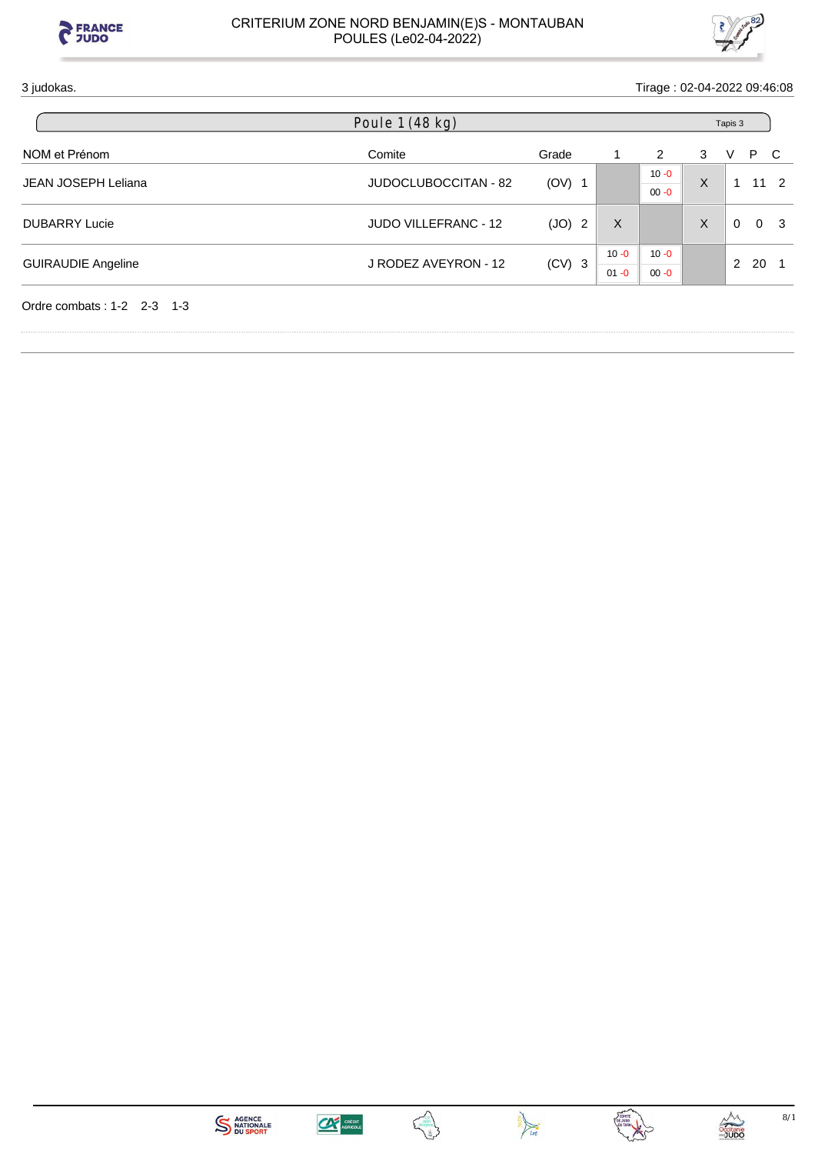



## 3 judokas. Tirage : 02-04-2022 09:46:08

|                              | Poule 1 (48 kg)             |          |          |          |   | Tapis 3  |                       |                |
|------------------------------|-----------------------------|----------|----------|----------|---|----------|-----------------------|----------------|
| NOM et Prénom                | Comite                      | Grade    |          | 2        | 3 | V        | P                     | - C            |
| <b>JEAN JOSEPH Leliana</b>   | JUDOCLUBOCCITAN - 82        | $(OV)$ 1 |          | $10 - 0$ | X |          |                       | $11 \quad 2$   |
|                              |                             |          |          | $00 - 0$ |   |          |                       |                |
| <b>DUBARRY Lucie</b>         | <b>JUDO VILLEFRANC - 12</b> | (JO) 2   | X        |          | X | $\Omega$ |                       | 0 <sup>3</sup> |
|                              |                             |          | $10 - 0$ | $10 - 0$ |   |          |                       |                |
| <b>GUIRAUDIE Angeline</b>    | J RODEZ AVEYRON - 12        | $(CV)$ 3 | $01 - 0$ | $00 - 0$ |   |          | - 20<br>$\mathcal{P}$ |                |
| Ordre combats: $1-2$ 2-3 1-3 |                             |          |          |          |   |          |                       |                |









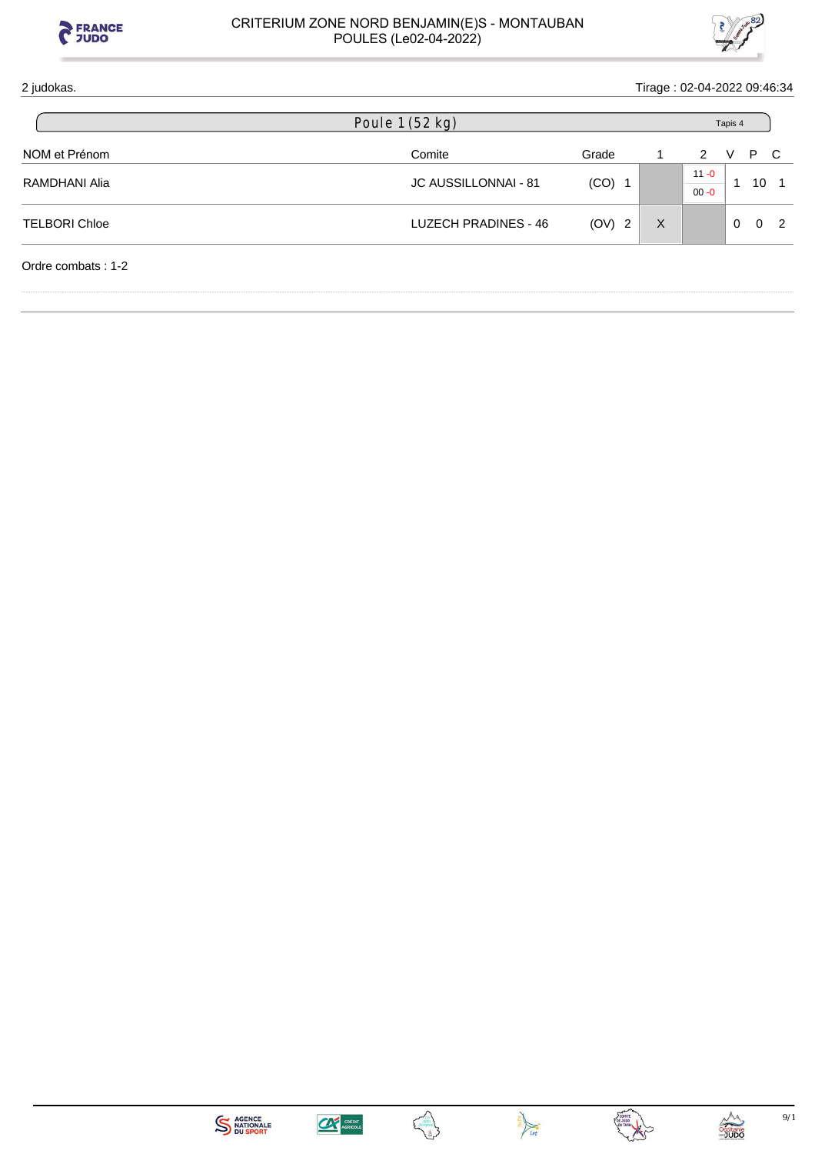



| 2 judokas.           |                      |          | Tirage: 02-04-2022 09:46:34 |                      |          |          |                |
|----------------------|----------------------|----------|-----------------------------|----------------------|----------|----------|----------------|
|                      | Poule 1 (52 kg)      |          |                             |                      | Tapis 4  |          |                |
| NOM et Prénom        | Comite               | Grade    |                             | $\mathcal{P}$        | V        | P        | $\overline{C}$ |
| RAMDHANI Alia        | JC AUSSILLONNAI - 81 | $(CO)$ 1 |                             | $11 - 0$<br>$00 - 0$ | -1       | 10       |                |
| <b>TELBORI Chloe</b> | LUZECH PRADINES - 46 | (OV) 2   | $\times$                    |                      | $\Omega$ | $\Omega$ | $\mathcal{P}$  |
| Ordre combats: 1-2   |                      |          |                             |                      |          |          |                |







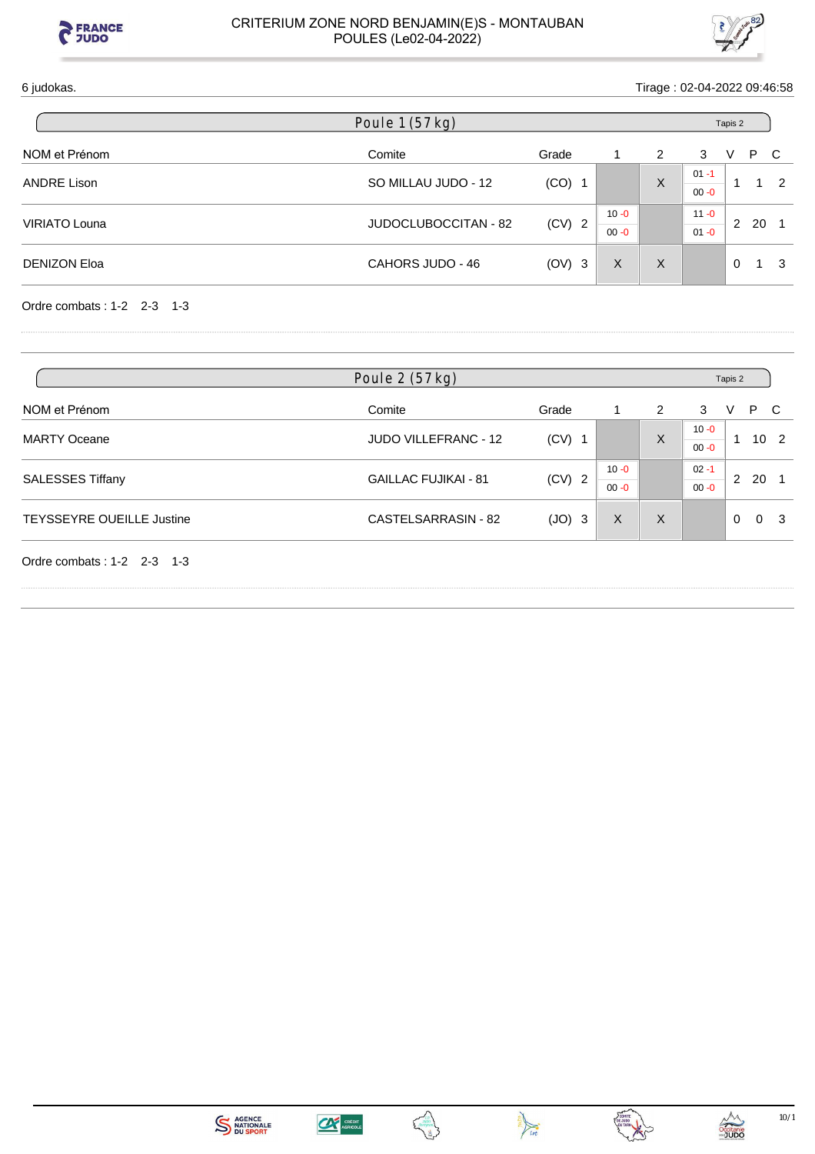



## 6 judokas. Tirage : 02-04-2022 09:46:58

|                      | Poule 1 (57 kg)      |          |                      |   |                      | Tapis 2  |      |               |
|----------------------|----------------------|----------|----------------------|---|----------------------|----------|------|---------------|
| NOM et Prénom        | Comite               | Grade    |                      | 2 | 3                    | V        | P.   | - C           |
| <b>ANDRE Lison</b>   | SO MILLAU JUDO - 12  | $(CO)$ 1 |                      | X | $01 - 1$<br>$00 - 0$ |          |      | $\mathcal{P}$ |
| <b>VIRIATO Louna</b> | JUDOCLUBOCCITAN - 82 | $(CV)$ 2 | $10 - 0$<br>$00 - 0$ |   | $11 - 0$<br>$01 - 0$ | 2        | - 20 |               |
| <b>DENIZON Eloa</b>  | CAHORS JUDO - 46     | $(OV)$ 3 | X                    | X |                      | $\Omega$ |      | 3             |

Ordre combats : 1-2 2-3 1-3

|                                  | Poule 2 (57 kg)             |          |                      |   | Tapis 2              |              |          |   |
|----------------------------------|-----------------------------|----------|----------------------|---|----------------------|--------------|----------|---|
| NOM et Prénom                    | Comite                      | Grade    |                      | 2 | 3                    | v            | P        |   |
| <b>MARTY Oceane</b>              | <b>JUDO VILLEFRANC - 12</b> | $(CV)$ 1 |                      | X | $10 - 0$<br>$00 - 0$ |              | $10^{2}$ |   |
| <b>SALESSES Tiffany</b>          | <b>GAILLAC FUJIKAI - 81</b> | $(CV)$ 2 | $10 - 0$<br>$00 - 0$ |   | $02 - 1$<br>$00 - 0$ | $\mathbf{2}$ | 20       |   |
| <b>TEYSSEYRE OUEILLE Justine</b> | CASTELSARRASIN - 82         | $(JO)$ 3 | X                    | X |                      | $\Omega$     |          | з |
| Ordre combats: $1-2$ 2-3 1-3     |                             |          |                      |   |                      |              |          |   |





Ę.



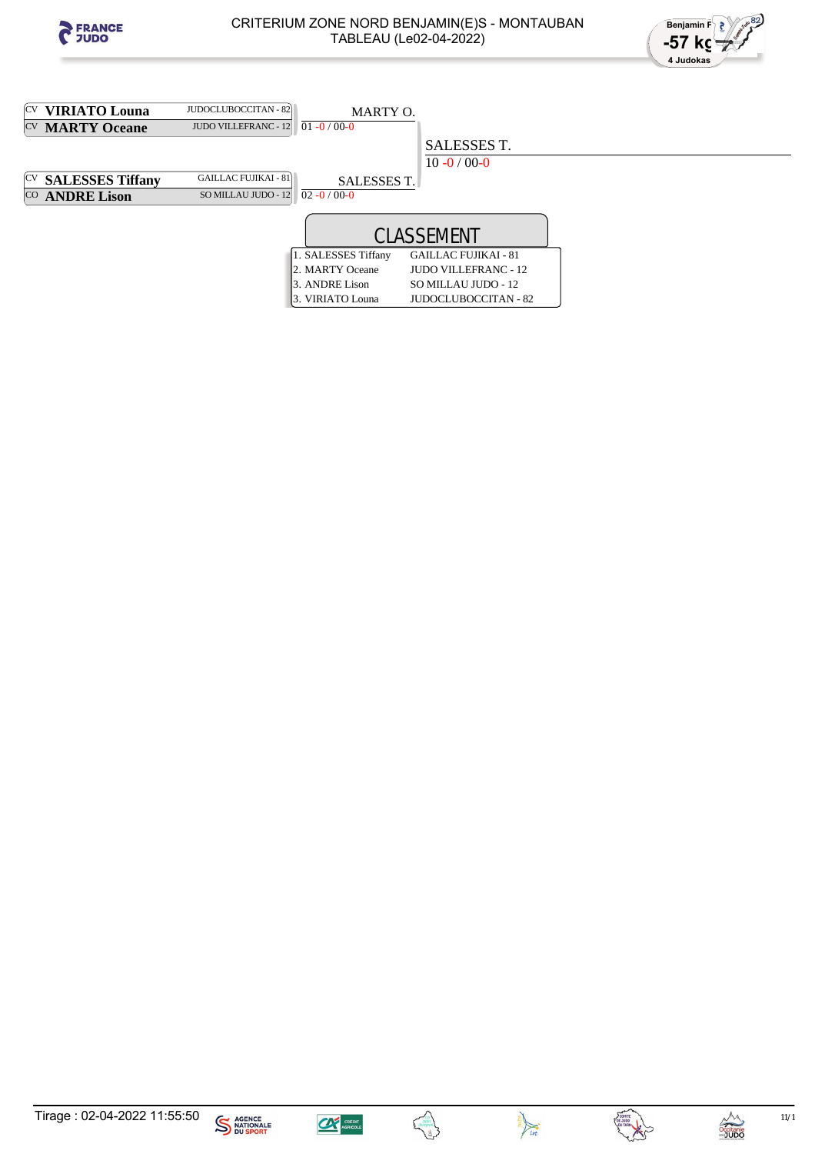



| <sup>[CV</sup> <b>VIRIATO Louna</b> | JUDOCLUBOCCITAN - 82                   | MARTY O.            |                             |  |
|-------------------------------------|----------------------------------------|---------------------|-----------------------------|--|
| <sup>CV</sup> MARTY Oceane          | JUDO VILLEFRANC - 12 $01 - 0 / 00 - 0$ |                     |                             |  |
|                                     |                                        |                     | SALESSES T.                 |  |
|                                     |                                        |                     | $10 - 0 / 00 - 0$           |  |
| <sup>[CV</sup> SALESSES Tiffany     | <b>GAILLAC FUJIKAI - 81</b>            | <b>SALESSES T.</b>  |                             |  |
| CO ANDRE Lison                      | SO MILLAU JUDO - 12                    | $02 - 0/00 - 0$     |                             |  |
|                                     |                                        |                     |                             |  |
|                                     |                                        |                     |                             |  |
|                                     |                                        | 1. SALESSES Tiffany | <b>GAILLAC FUJIKAI - 81</b> |  |
|                                     |                                        | 2. MARTY Oceane     | <b>JUDO VILLEFRANC - 12</b> |  |
|                                     |                                        | 3. ANDRE Lison      | SO MILLAU JUDO - 12         |  |
|                                     |                                        | 3. VIRIATO Louna    | <b>JUDOCLUBOCCITAN - 82</b> |  |